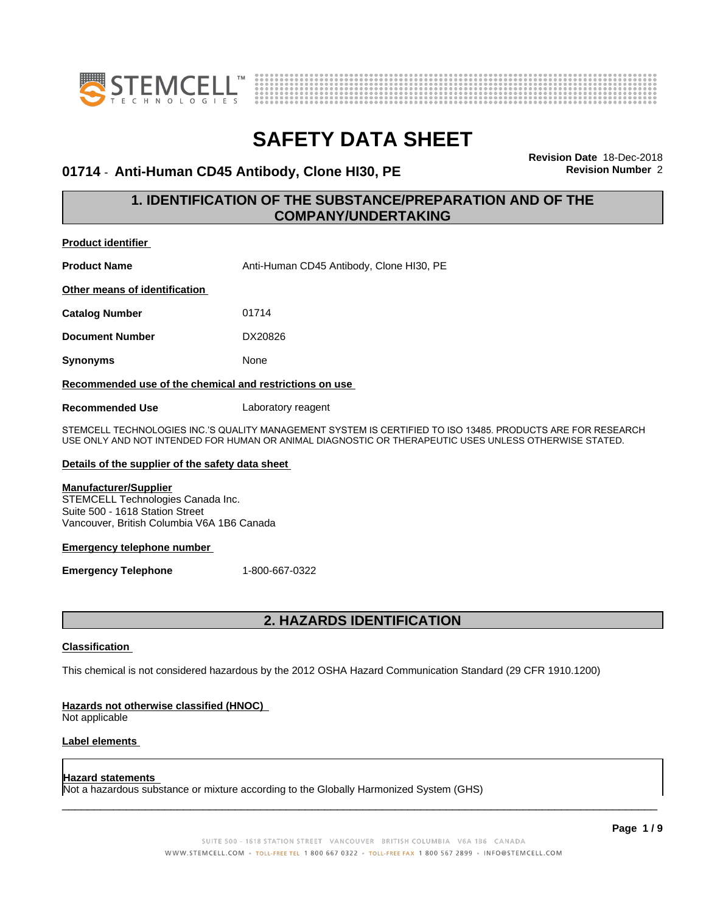



### **01714** - **Anti-Human CD45 Antibody, Clone HI30, PE Revision Number** 2

**Revision Date** 18-Dec-2018

### **1. IDENTIFICATION OF THE SUBSTANCE/PREPARATION AND OF THE COMPANY/UNDERTAKING**

| <b>Product identifier</b>                                                                                                                                                                                            |                                          |  |
|----------------------------------------------------------------------------------------------------------------------------------------------------------------------------------------------------------------------|------------------------------------------|--|
| <b>Product Name</b>                                                                                                                                                                                                  | Anti-Human CD45 Antibody, Clone HI30, PE |  |
| Other means of identification                                                                                                                                                                                        |                                          |  |
| <b>Catalog Number</b>                                                                                                                                                                                                | 01714                                    |  |
| <b>Document Number</b>                                                                                                                                                                                               | DX20826                                  |  |
| <b>Synonyms</b>                                                                                                                                                                                                      | None                                     |  |
| Recommended use of the chemical and restrictions on use                                                                                                                                                              |                                          |  |
| <b>Recommended Use</b>                                                                                                                                                                                               | Laboratory reagent                       |  |
| STEMCELL TECHNOLOGIES INC.'S QUALITY MANAGEMENT SYSTEM IS CERTIFIED TO ISO 13485. PRODUCTS ARE FOR RESEARCH<br>USE ONLY AND NOT INTENDED FOR HUMAN OR ANIMAL DIAGNOSTIC OR THERAPEUTIC USES UNLESS OTHERWISE STATED. |                                          |  |

#### **Details of the supplier of the safety data sheet**

#### **Manufacturer/Supplier**

STEMCELL Technologies Canada Inc. Suite 500 - 1618 Station Street Vancouver, British Columbia V6A 1B6 Canada

#### **Emergency telephone number**

**Emergency Telephone** 1-800-667-0322

### **2. HAZARDS IDENTIFICATION**

#### **Classification**

This chemical is not considered hazardous by the 2012 OSHA Hazard Communication Standard (29 CFR 1910.1200)

#### **Hazards not otherwise classified (HNOC)**

Not applicable

#### **Label elements**

#### **Hazard statements**

Not a hazardous substance or mixture according to the Globally Harmonized System (GHS)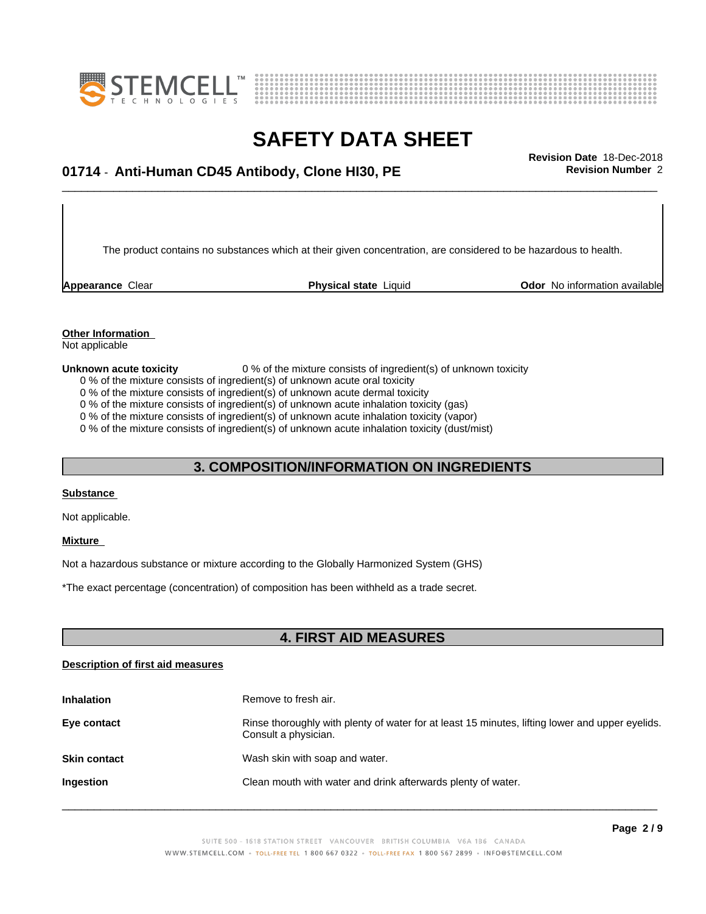



## \_\_\_\_\_\_\_\_\_\_\_\_\_\_\_\_\_\_\_\_\_\_\_\_\_\_\_\_\_\_\_\_\_\_\_\_\_\_\_\_\_\_\_\_\_\_\_\_\_\_\_\_\_\_\_\_\_\_\_\_\_\_\_\_\_\_\_\_\_\_\_\_\_\_\_\_\_\_\_\_\_\_\_\_\_\_\_\_\_\_\_\_\_ **Revision Date** 18-Dec-2018 **01714** - **Anti-Human CD45 Antibody, Clone HI30, PE Revision Number** 2

The product contains no substances which at their given concentration, are considered to be hazardous to health.

**Appearance** Clear **Physical state** Liquid **Odor No information available Appearance** Clear

### **Other Information**

Not applicable

**Unknown acute toxicity** 0 % of the mixture consists of ingredient(s) of unknown toxicity

0 % of the mixture consists of ingredient(s) of unknown acute oral toxicity

0 % of the mixture consists of ingredient(s) of unknown acute dermal toxicity

0 % of the mixture consists of ingredient(s) of unknown acute inhalation toxicity (gas)

0 % of the mixture consists of ingredient(s) of unknown acute inhalation toxicity (vapor)

0 % of the mixture consists of ingredient(s) of unknown acute inhalation toxicity (dust/mist)

#### **3. COMPOSITION/INFORMATION ON INGREDIENTS**

#### **Substance**

Not applicable.

#### **Mixture**

Not a hazardous substance or mixture according to the Globally Harmonized System (GHS)

\*The exact percentage (concentration) ofcomposition has been withheld as a trade secret.

#### **4. FIRST AID MEASURES**

#### **Description of first aid measures**

| <b>Inhalation</b>   | Remove to fresh air.                                                                                                    |
|---------------------|-------------------------------------------------------------------------------------------------------------------------|
| Eye contact         | Rinse thoroughly with plenty of water for at least 15 minutes, lifting lower and upper eyelids.<br>Consult a physician. |
| <b>Skin contact</b> | Wash skin with soap and water.                                                                                          |
| Ingestion           | Clean mouth with water and drink afterwards plenty of water.                                                            |
|                     |                                                                                                                         |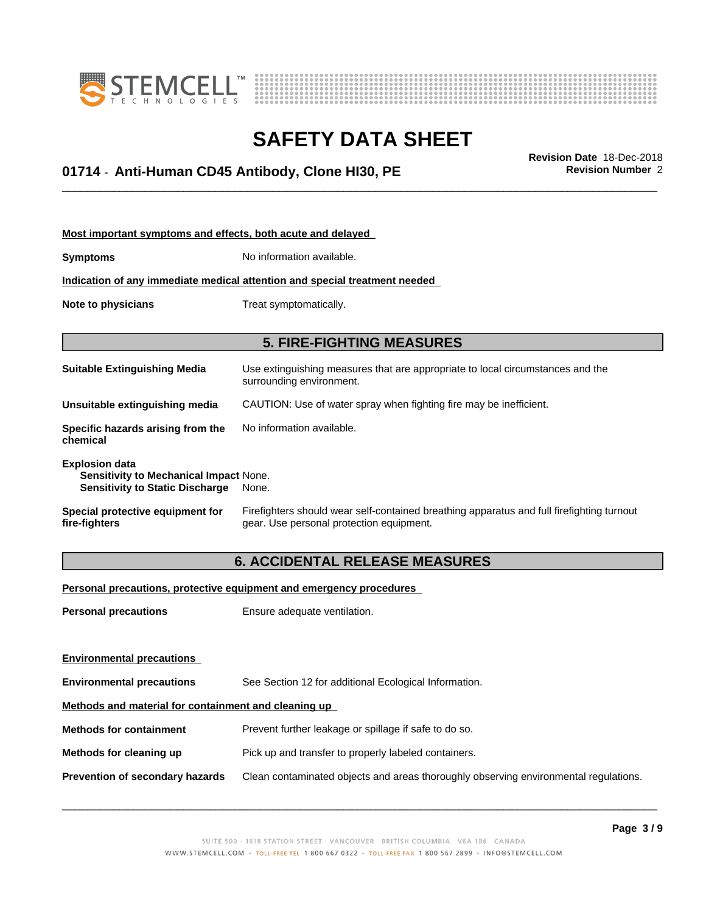



## \_\_\_\_\_\_\_\_\_\_\_\_\_\_\_\_\_\_\_\_\_\_\_\_\_\_\_\_\_\_\_\_\_\_\_\_\_\_\_\_\_\_\_\_\_\_\_\_\_\_\_\_\_\_\_\_\_\_\_\_\_\_\_\_\_\_\_\_\_\_\_\_\_\_\_\_\_\_\_\_\_\_\_\_\_\_\_\_\_\_\_\_\_ **Revision Date** 18-Dec-2018 **01714** - **Anti-Human CD45 Antibody, Clone HI30, PE Revision Number** 2

| Most important symptoms and effects, both acute and delayed                                                      |                                                                                                                                       |
|------------------------------------------------------------------------------------------------------------------|---------------------------------------------------------------------------------------------------------------------------------------|
| <b>Symptoms</b>                                                                                                  | No information available.                                                                                                             |
|                                                                                                                  | Indication of any immediate medical attention and special treatment needed                                                            |
| Note to physicians                                                                                               | Treat symptomatically.                                                                                                                |
|                                                                                                                  |                                                                                                                                       |
|                                                                                                                  | <b>5. FIRE-FIGHTING MEASURES</b>                                                                                                      |
| <b>Suitable Extinguishing Media</b>                                                                              | Use extinguishing measures that are appropriate to local circumstances and the<br>surrounding environment.                            |
| Unsuitable extinguishing media                                                                                   | CAUTION: Use of water spray when fighting fire may be inefficient.                                                                    |
| Specific hazards arising from the<br>chemical                                                                    | No information available.                                                                                                             |
| <b>Explosion data</b><br><b>Sensitivity to Mechanical Impact None.</b><br><b>Sensitivity to Static Discharge</b> | None.                                                                                                                                 |
| Special protective equipment for<br>fire-fighters                                                                | Firefighters should wear self-contained breathing apparatus and full firefighting turnout<br>gear. Use personal protection equipment. |

### **6. ACCIDENTAL RELEASE MEASURES**

**Personal precautions, protective equipment and emergency procedures**

**Personal precautions** Ensure adequate ventilation.

| <b>Environmental precautions</b>                     |                                                                                      |
|------------------------------------------------------|--------------------------------------------------------------------------------------|
| <b>Environmental precautions</b>                     | See Section 12 for additional Ecological Information.                                |
| Methods and material for containment and cleaning up |                                                                                      |
| <b>Methods for containment</b>                       | Prevent further leakage or spillage if safe to do so.                                |
| Methods for cleaning up                              | Pick up and transfer to properly labeled containers.                                 |
| Prevention of secondary hazards                      | Clean contaminated objects and areas thoroughly observing environmental regulations. |
|                                                      |                                                                                      |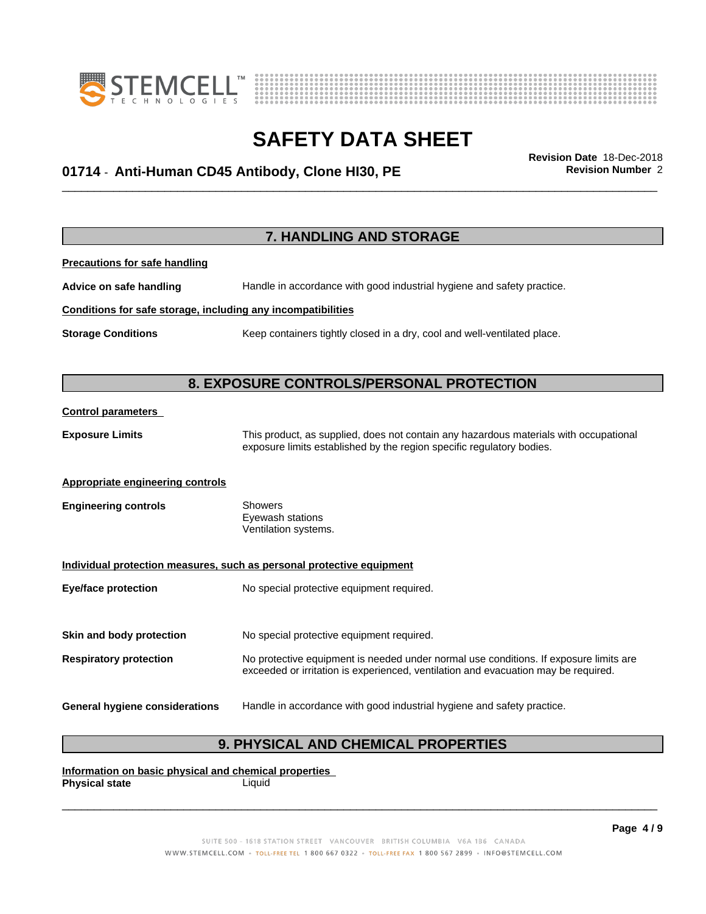



## \_\_\_\_\_\_\_\_\_\_\_\_\_\_\_\_\_\_\_\_\_\_\_\_\_\_\_\_\_\_\_\_\_\_\_\_\_\_\_\_\_\_\_\_\_\_\_\_\_\_\_\_\_\_\_\_\_\_\_\_\_\_\_\_\_\_\_\_\_\_\_\_\_\_\_\_\_\_\_\_\_\_\_\_\_\_\_\_\_\_\_\_\_ **Revision Date** 18-Dec-2018 **01714** - **Anti-Human CD45 Antibody, Clone HI30, PE Revision Number** 2

|                                                              | 7. HANDLING AND STORAGE                                                                                                                                        |
|--------------------------------------------------------------|----------------------------------------------------------------------------------------------------------------------------------------------------------------|
| <b>Precautions for safe handling</b>                         |                                                                                                                                                                |
| Advice on safe handling                                      | Handle in accordance with good industrial hygiene and safety practice.                                                                                         |
| Conditions for safe storage, including any incompatibilities |                                                                                                                                                                |
| <b>Storage Conditions</b>                                    | Keep containers tightly closed in a dry, cool and well-ventilated place.                                                                                       |
|                                                              |                                                                                                                                                                |
|                                                              | 8. EXPOSURE CONTROLS/PERSONAL PROTECTION                                                                                                                       |
| <b>Control parameters</b>                                    |                                                                                                                                                                |
| <b>Exposure Limits</b>                                       | This product, as supplied, does not contain any hazardous materials with occupational<br>exposure limits established by the region specific regulatory bodies. |
| <b>Appropriate engineering controls</b>                      |                                                                                                                                                                |
| <b>Engineering controls</b>                                  | <b>Showers</b><br>Eyewash stations<br>Ventilation systems.                                                                                                     |
|                                                              | Individual protection measures, such as personal protective equipment                                                                                          |
| <b>Eye/face protection</b>                                   | No special protective equipment required.                                                                                                                      |
| Skin and body protection                                     | No special protective equipment required.                                                                                                                      |
|                                                              | No protective equipment is needed under normal use conditions. If exposure limits are                                                                          |
| <b>Respiratory protection</b>                                | exceeded or irritation is experienced, ventilation and evacuation may be required.                                                                             |
| <b>General hygiene considerations</b>                        | Handle in accordance with good industrial hygiene and safety practice.                                                                                         |

### **9. PHYSICAL AND CHEMICAL PROPERTIES**

**Information on basic physical and chemical properties Physical state** Liquid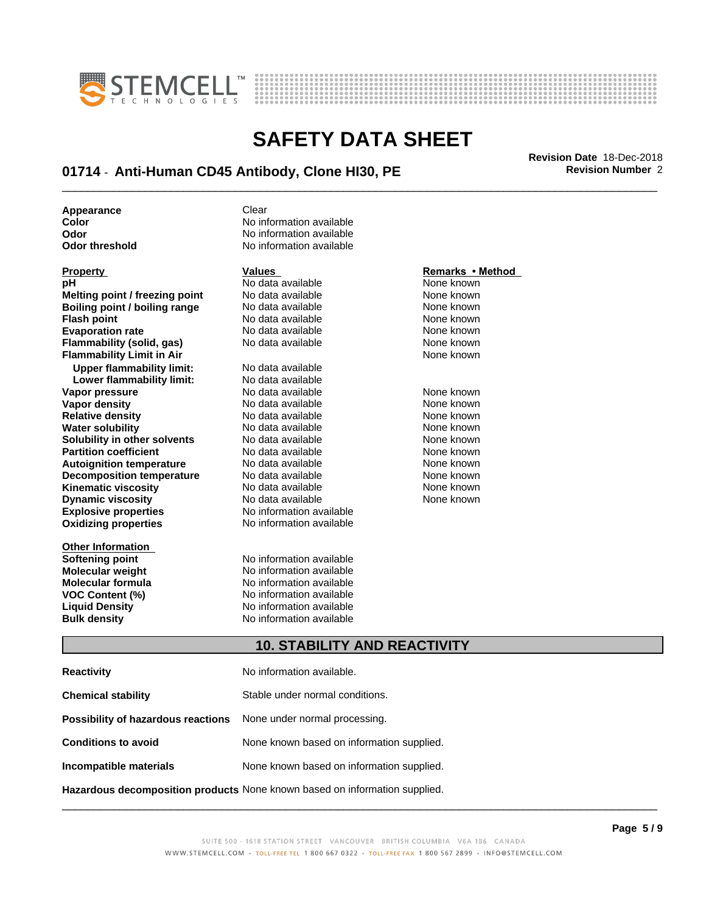



## \_\_\_\_\_\_\_\_\_\_\_\_\_\_\_\_\_\_\_\_\_\_\_\_\_\_\_\_\_\_\_\_\_\_\_\_\_\_\_\_\_\_\_\_\_\_\_\_\_\_\_\_\_\_\_\_\_\_\_\_\_\_\_\_\_\_\_\_\_\_\_\_\_\_\_\_\_\_\_\_\_\_\_\_\_\_\_\_\_\_\_\_\_ **Revision Date** 18-Dec-2018 **01714** - **Anti-Human CD45 Antibody, Clone HI30, PE Revision Number** 2

**Appearance** Clear

| <b>Property</b>                  | Values                   | Remarks • Method |
|----------------------------------|--------------------------|------------------|
| рH                               | No data available        | None known       |
| Melting point / freezing point   | No data available        | None known       |
| Boiling point / boiling range    | No data available        | None known       |
| <b>Flash point</b>               | No data available        | None known       |
| <b>Evaporation rate</b>          | No data available        | None known       |
| Flammability (solid, gas)        | No data available        | None known       |
| <b>Flammability Limit in Air</b> |                          | None known       |
| <b>Upper flammability limit:</b> | No data available        |                  |
| Lower flammability limit:        | No data available        |                  |
| Vapor pressure                   | No data available        | None known       |
| Vapor density                    | No data available        | None known       |
| <b>Relative density</b>          | No data available        | None known       |
| <b>Water solubility</b>          | No data available        | None known       |
| Solubility in other solvents     | No data available        | None known       |
| <b>Partition coefficient</b>     | No data available        | None known       |
| <b>Autoignition temperature</b>  | No data available        | None known       |
| <b>Decomposition temperature</b> | No data available        | None known       |
| <b>Kinematic viscosity</b>       | No data available        | None known       |
| <b>Dynamic viscosity</b>         | No data available        | None known       |
| <b>Explosive properties</b>      | No information available |                  |
| <b>Oxidizing properties</b>      | No information available |                  |
| <b>Other Information</b>         |                          |                  |
| Softening point                  | No information available |                  |
| Molecular weight                 | No information available |                  |

**Color Color Color Color Color Color Color Color Color Color Color No** information available **No information available Odor threshold** No information available

**Softening point** No information available **Molecular weight Molecular is a structure of the No information available Molecular formula Molecular System Molecular formula Molecular formula** No information available **VOC Content (%) No information available VOC Content (%)** No information available **Liquid Density** No information available **Bulk density** No information available

#### **Property Contract Property Remarks • Method**

#### **10. STABILITY AND REACTIVITY**

| <b>Reactivity</b>                                                                 | No information available.                 |
|-----------------------------------------------------------------------------------|-------------------------------------------|
| <b>Chemical stability</b>                                                         | Stable under normal conditions.           |
| Possibility of hazardous reactions                                                | None under normal processing.             |
| <b>Conditions to avoid</b>                                                        | None known based on information supplied. |
| Incompatible materials                                                            | None known based on information supplied. |
| <b>Hazardous decomposition products</b> None known based on information supplied. |                                           |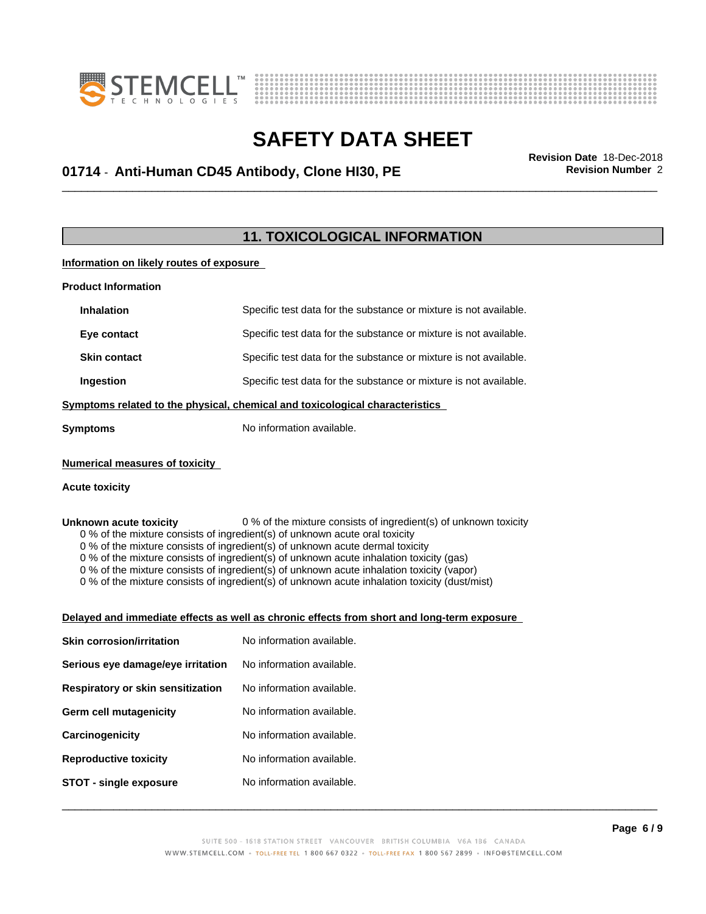



## \_\_\_\_\_\_\_\_\_\_\_\_\_\_\_\_\_\_\_\_\_\_\_\_\_\_\_\_\_\_\_\_\_\_\_\_\_\_\_\_\_\_\_\_\_\_\_\_\_\_\_\_\_\_\_\_\_\_\_\_\_\_\_\_\_\_\_\_\_\_\_\_\_\_\_\_\_\_\_\_\_\_\_\_\_\_\_\_\_\_\_\_\_ **Revision Date** 18-Dec-2018 **01714** - **Anti-Human CD45 Antibody, Clone HI30, PE Revision Number** 2

### **11. TOXICOLOGICAL INFORMATION**

#### **Information on likely routes of exposure**

| <b>Inhalation</b><br>Specific test data for the substance or mixture is not available.<br>Eye contact<br>Specific test data for the substance or mixture is not available.<br><b>Skin contact</b><br>Specific test data for the substance or mixture is not available.<br>Ingestion<br>Specific test data for the substance or mixture is not available.<br>Symptoms related to the physical, chemical and toxicological characteristics<br>No information available.<br><b>Symptoms</b><br><b>Numerical measures of toxicity</b><br><b>Acute toxicity</b><br>0 % of the mixture consists of ingredient(s) of unknown toxicity<br>Unknown acute toxicity<br>0 % of the mixture consists of ingredient(s) of unknown acute oral toxicity<br>0 % of the mixture consists of ingredient(s) of unknown acute dermal toxicity<br>0 % of the mixture consists of ingredient(s) of unknown acute inhalation toxicity (gas)<br>0 % of the mixture consists of ingredient(s) of unknown acute inhalation toxicity (vapor)<br>0 % of the mixture consists of ingredient(s) of unknown acute inhalation toxicity (dust/mist)<br>Delayed and immediate effects as well as chronic effects from short and long-term exposure<br>No information available.<br><b>Skin corrosion/irritation</b><br>No information available.<br>Serious eye damage/eye irritation<br>No information available.<br>Respiratory or skin sensitization<br><b>Germ cell mutagenicity</b><br>No information available.<br>No information available.<br>Carcinogenicity<br>No information available.<br><b>Reproductive toxicity</b><br>No information available.<br><b>STOT - single exposure</b> | <b>Product Information</b> |  |  |
|---------------------------------------------------------------------------------------------------------------------------------------------------------------------------------------------------------------------------------------------------------------------------------------------------------------------------------------------------------------------------------------------------------------------------------------------------------------------------------------------------------------------------------------------------------------------------------------------------------------------------------------------------------------------------------------------------------------------------------------------------------------------------------------------------------------------------------------------------------------------------------------------------------------------------------------------------------------------------------------------------------------------------------------------------------------------------------------------------------------------------------------------------------------------------------------------------------------------------------------------------------------------------------------------------------------------------------------------------------------------------------------------------------------------------------------------------------------------------------------------------------------------------------------------------------------------------------------------------------------------------------------------------------------|----------------------------|--|--|
|                                                                                                                                                                                                                                                                                                                                                                                                                                                                                                                                                                                                                                                                                                                                                                                                                                                                                                                                                                                                                                                                                                                                                                                                                                                                                                                                                                                                                                                                                                                                                                                                                                                               |                            |  |  |
|                                                                                                                                                                                                                                                                                                                                                                                                                                                                                                                                                                                                                                                                                                                                                                                                                                                                                                                                                                                                                                                                                                                                                                                                                                                                                                                                                                                                                                                                                                                                                                                                                                                               |                            |  |  |
|                                                                                                                                                                                                                                                                                                                                                                                                                                                                                                                                                                                                                                                                                                                                                                                                                                                                                                                                                                                                                                                                                                                                                                                                                                                                                                                                                                                                                                                                                                                                                                                                                                                               |                            |  |  |
|                                                                                                                                                                                                                                                                                                                                                                                                                                                                                                                                                                                                                                                                                                                                                                                                                                                                                                                                                                                                                                                                                                                                                                                                                                                                                                                                                                                                                                                                                                                                                                                                                                                               |                            |  |  |
|                                                                                                                                                                                                                                                                                                                                                                                                                                                                                                                                                                                                                                                                                                                                                                                                                                                                                                                                                                                                                                                                                                                                                                                                                                                                                                                                                                                                                                                                                                                                                                                                                                                               |                            |  |  |
|                                                                                                                                                                                                                                                                                                                                                                                                                                                                                                                                                                                                                                                                                                                                                                                                                                                                                                                                                                                                                                                                                                                                                                                                                                                                                                                                                                                                                                                                                                                                                                                                                                                               |                            |  |  |
|                                                                                                                                                                                                                                                                                                                                                                                                                                                                                                                                                                                                                                                                                                                                                                                                                                                                                                                                                                                                                                                                                                                                                                                                                                                                                                                                                                                                                                                                                                                                                                                                                                                               |                            |  |  |
|                                                                                                                                                                                                                                                                                                                                                                                                                                                                                                                                                                                                                                                                                                                                                                                                                                                                                                                                                                                                                                                                                                                                                                                                                                                                                                                                                                                                                                                                                                                                                                                                                                                               |                            |  |  |
|                                                                                                                                                                                                                                                                                                                                                                                                                                                                                                                                                                                                                                                                                                                                                                                                                                                                                                                                                                                                                                                                                                                                                                                                                                                                                                                                                                                                                                                                                                                                                                                                                                                               |                            |  |  |
|                                                                                                                                                                                                                                                                                                                                                                                                                                                                                                                                                                                                                                                                                                                                                                                                                                                                                                                                                                                                                                                                                                                                                                                                                                                                                                                                                                                                                                                                                                                                                                                                                                                               |                            |  |  |
|                                                                                                                                                                                                                                                                                                                                                                                                                                                                                                                                                                                                                                                                                                                                                                                                                                                                                                                                                                                                                                                                                                                                                                                                                                                                                                                                                                                                                                                                                                                                                                                                                                                               |                            |  |  |
|                                                                                                                                                                                                                                                                                                                                                                                                                                                                                                                                                                                                                                                                                                                                                                                                                                                                                                                                                                                                                                                                                                                                                                                                                                                                                                                                                                                                                                                                                                                                                                                                                                                               |                            |  |  |
|                                                                                                                                                                                                                                                                                                                                                                                                                                                                                                                                                                                                                                                                                                                                                                                                                                                                                                                                                                                                                                                                                                                                                                                                                                                                                                                                                                                                                                                                                                                                                                                                                                                               |                            |  |  |
|                                                                                                                                                                                                                                                                                                                                                                                                                                                                                                                                                                                                                                                                                                                                                                                                                                                                                                                                                                                                                                                                                                                                                                                                                                                                                                                                                                                                                                                                                                                                                                                                                                                               |                            |  |  |
|                                                                                                                                                                                                                                                                                                                                                                                                                                                                                                                                                                                                                                                                                                                                                                                                                                                                                                                                                                                                                                                                                                                                                                                                                                                                                                                                                                                                                                                                                                                                                                                                                                                               |                            |  |  |
|                                                                                                                                                                                                                                                                                                                                                                                                                                                                                                                                                                                                                                                                                                                                                                                                                                                                                                                                                                                                                                                                                                                                                                                                                                                                                                                                                                                                                                                                                                                                                                                                                                                               |                            |  |  |
|                                                                                                                                                                                                                                                                                                                                                                                                                                                                                                                                                                                                                                                                                                                                                                                                                                                                                                                                                                                                                                                                                                                                                                                                                                                                                                                                                                                                                                                                                                                                                                                                                                                               |                            |  |  |
|                                                                                                                                                                                                                                                                                                                                                                                                                                                                                                                                                                                                                                                                                                                                                                                                                                                                                                                                                                                                                                                                                                                                                                                                                                                                                                                                                                                                                                                                                                                                                                                                                                                               |                            |  |  |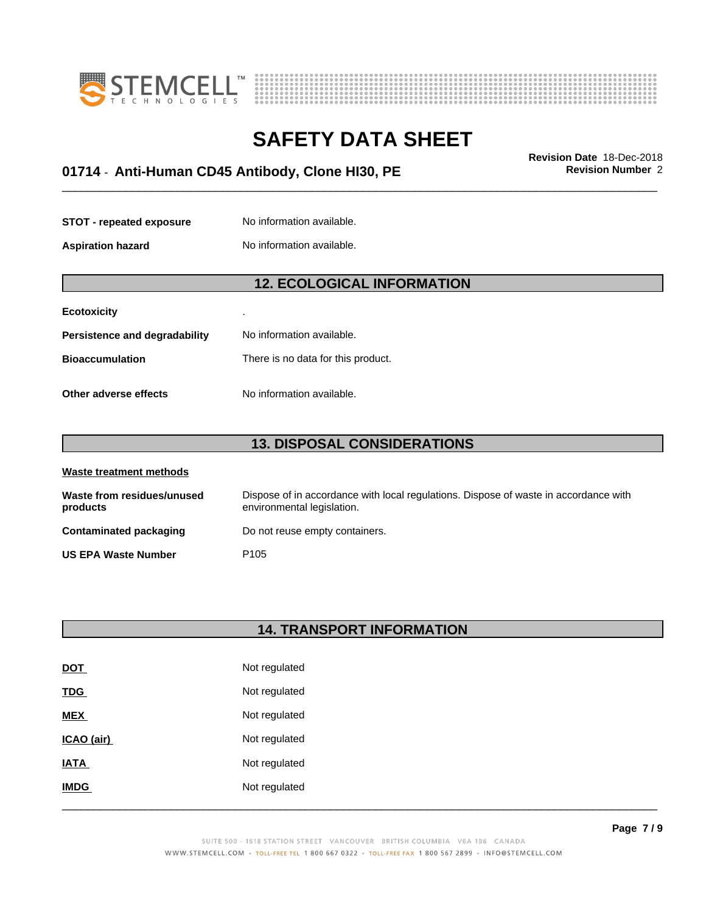



## \_\_\_\_\_\_\_\_\_\_\_\_\_\_\_\_\_\_\_\_\_\_\_\_\_\_\_\_\_\_\_\_\_\_\_\_\_\_\_\_\_\_\_\_\_\_\_\_\_\_\_\_\_\_\_\_\_\_\_\_\_\_\_\_\_\_\_\_\_\_\_\_\_\_\_\_\_\_\_\_\_\_\_\_\_\_\_\_\_\_\_\_\_ **Revision Date** 18-Dec-2018 **01714** - **Anti-Human CD45 Antibody, Clone HI30, PE Revision Number** 2

| <b>STOT - repeated exposure</b> | No information available. |
|---------------------------------|---------------------------|
|                                 |                           |

**Aspiration hazard** No information available.

### **12. ECOLOGICAL INFORMATION**

| <b>Ecotoxicity</b>            | ٠                                  |
|-------------------------------|------------------------------------|
| Persistence and degradability | No information available.          |
| <b>Bioaccumulation</b>        | There is no data for this product. |
| Other adverse effects         | No information available.          |

### **13. DISPOSAL CONSIDERATIONS**

| Waste treatment methods                |                                                                                                                    |
|----------------------------------------|--------------------------------------------------------------------------------------------------------------------|
| Waste from residues/unused<br>products | Dispose of in accordance with local regulations. Dispose of waste in accordance with<br>environmental legislation. |
| Contaminated packaging                 | Do not reuse empty containers.                                                                                     |
| <b>US EPA Waste Number</b>             | P <sub>105</sub>                                                                                                   |

#### **14. TRANSPORT INFORMATION**

| <b>DOT</b>  | Not regulated |
|-------------|---------------|
| <b>TDG</b>  | Not regulated |
| <b>MEX</b>  | Not regulated |
| ICAO (air)  | Not regulated |
| <b>IATA</b> | Not regulated |
| <b>IMDG</b> | Not regulated |
|             |               |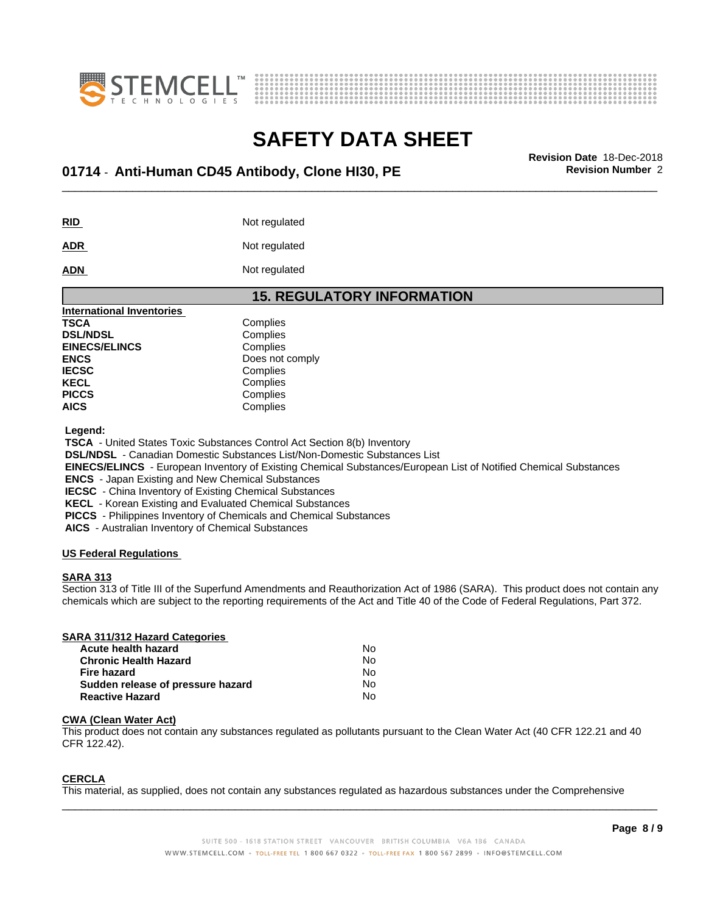



## \_\_\_\_\_\_\_\_\_\_\_\_\_\_\_\_\_\_\_\_\_\_\_\_\_\_\_\_\_\_\_\_\_\_\_\_\_\_\_\_\_\_\_\_\_\_\_\_\_\_\_\_\_\_\_\_\_\_\_\_\_\_\_\_\_\_\_\_\_\_\_\_\_\_\_\_\_\_\_\_\_\_\_\_\_\_\_\_\_\_\_\_\_ **Revision Date** 18-Dec-2018 **01714** - **Anti-Human CD45 Antibody, Clone HI30, PE Revision Number** 2

**RID** Not regulated

**ADR** Not regulated

**ADN** Not regulated

| <b>15. REGULATORY INFORMATION</b> |                 |  |
|-----------------------------------|-----------------|--|
| <b>International Inventories</b>  |                 |  |
| <b>TSCA</b>                       | Complies        |  |
| <b>DSL/NDSL</b>                   | Complies        |  |
| <b>EINECS/ELINCS</b>              | Complies        |  |
| <b>ENCS</b>                       | Does not comply |  |
| <b>IECSC</b>                      | Complies        |  |
| <b>KECL</b>                       | Complies        |  |
| <b>PICCS</b>                      | Complies        |  |
| <b>AICS</b>                       | Complies        |  |

 **Legend:**

 **TSCA** - United States Toxic Substances Control Act Section 8(b) Inventory

 **DSL/NDSL** - Canadian Domestic Substances List/Non-Domestic Substances List

 **EINECS/ELINCS** - European Inventory of Existing Chemical Substances/European List of Notified Chemical Substances

 **ENCS** - Japan Existing and New Chemical Substances

 **IECSC** - China Inventory of Existing Chemical Substances

 **KECL** - Korean Existing and Evaluated Chemical Substances

 **PICCS** - Philippines Inventory of Chemicals and Chemical Substances

 **AICS** - Australian Inventory of Chemical Substances

#### **US Federal Regulations**

#### **SARA 313**

Section 313 of Title III of the Superfund Amendments and Reauthorization Act of 1986 (SARA). This product does not contain any chemicals which are subject to the reporting requirements of the Act and Title 40 of the Code of Federal Regulations, Part 372.

#### **SARA 311/312 Hazard Categories**

| Acute health hazard               | No. |
|-----------------------------------|-----|
| <b>Chronic Health Hazard</b>      | No  |
| Fire hazard                       | N٥  |
| Sudden release of pressure hazard | No  |
| <b>Reactive Hazard</b>            | N٥  |

#### **CWA** (Clean Water Act)

This product does not contain any substances regulated as pollutants pursuant to the Clean Water Act (40 CFR 122.21 and 40 CFR 122.42).

#### **CERCLA**

This material, as supplied, does not contain any substances regulated as hazardous substances under the Comprehensive